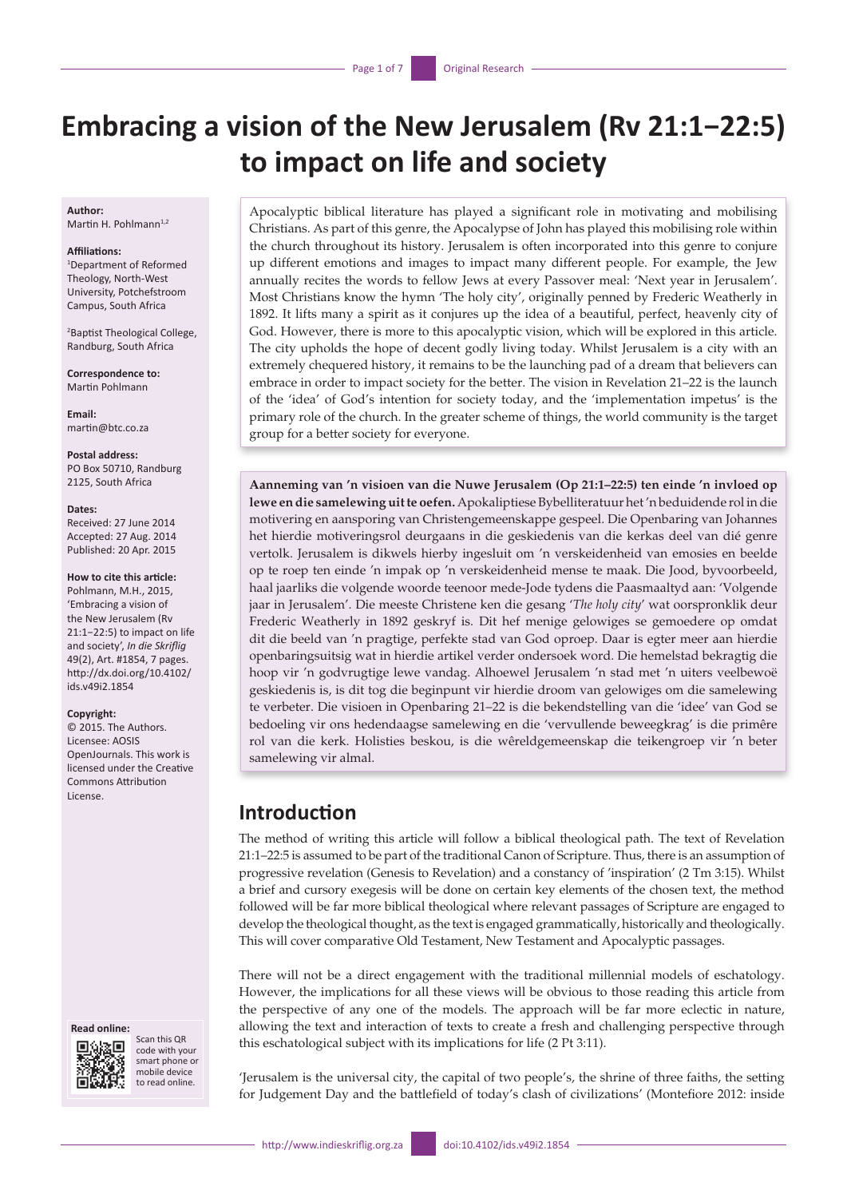# **Embracing a vision of the New Jerusalem (Rv 21:1−22:5) to impact on life and society**

#### **Author:** Martin H. Pohlmann<sup>1,2</sup>

#### **Affiliations:**

1 Department of Reformed Theology, North-West University, Potchefstroom Campus, South Africa

2 Baptist Theological College, Randburg, South Africa

**Correspondence to:** Martin Pohlmann

**Email:** [martin@btc.co.za](mailto:martin@btc.co.za)

**Postal address:** PO Box 50710, Randburg 2125, South Africa

#### **Dates:**

Received: 27 June 2014 Accepted: 27 Aug. 2014 Published: 20 Apr. 2015

#### **How to cite this article:**

Pohlmann, M.H., 2015, 'Embracing a vision of the New Jerusalem (Rv 21:1−22:5) to impact on life and society', *In die Skriflig* 49(2), Art. #1854, 7 pages. [http://dx.doi.org/10.4102/](http://dx.doi.org/10.4102/ids.v49i2.1854) [ids.v49i2.1854](http://dx.doi.org/10.4102/ids.v49i2.1854)

#### **Copyright:**

© 2015. The Authors. Licensee: AOSIS OpenJournals. This work is licensed under the Creative Commons Attribution License.

#### **Read online:**



Scan this QR code with your smart phone or mobile device to read online.

Apocalyptic biblical literature has played a significant role in motivating and mobilising Christians. As part of this genre, the Apocalypse of John has played this mobilising role within the church throughout its history. Jerusalem is often incorporated into this genre to conjure up different emotions and images to impact many different people. For example, the Jew annually recites the words to fellow Jews at every Passover meal: 'Next year in Jerusalem'. Most Christians know the hymn 'The holy city', originally penned by Frederic Weatherly in 1892. It lifts many a spirit as it conjures up the idea of a beautiful, perfect, heavenly city of God. However, there is more to this apocalyptic vision, which will be explored in this article. The city upholds the hope of decent godly living today. Whilst Jerusalem is a city with an extremely chequered history, it remains to be the launching pad of a dream that believers can embrace in order to impact society for the better. The vision in Revelation 21–22 is the launch of the 'idea' of God's intention for society today, and the 'implementation impetus' is the primary role of the church. In the greater scheme of things, the world community is the target group for a better society for everyone.

**Aanneming van 'n visioen van die Nuwe Jerusalem (Op 21:1–22:5) ten einde 'n invloed op lewe en die samelewing uit te oefen.** Apokaliptiese Bybelliteratuur het 'n beduidende rol in die motivering en aansporing van Christengemeenskappe gespeel. Die Openbaring van Johannes het hierdie motiveringsrol deurgaans in die geskiedenis van die kerkas deel van dié genre vertolk. Jerusalem is dikwels hierby ingesluit om 'n verskeidenheid van emosies en beelde op te roep ten einde 'n impak op 'n verskeidenheid mense te maak. Die Jood, byvoorbeeld, haal jaarliks die volgende woorde teenoor mede-Jode tydens die Paasmaaltyd aan: 'Volgende jaar in Jerusalem'. Die meeste Christene ken die gesang '*The holy city*' wat oorspronklik deur Frederic Weatherly in 1892 geskryf is. Dit hef menige gelowiges se gemoedere op omdat dit die beeld van 'n pragtige, perfekte stad van God oproep. Daar is egter meer aan hierdie openbaringsuitsig wat in hierdie artikel verder ondersoek word. Die hemelstad bekragtig die hoop vir 'n godvrugtige lewe vandag. Alhoewel Jerusalem 'n stad met 'n uiters veelbewoë geskiedenis is, is dit tog die beginpunt vir hierdie droom van gelowiges om die samelewing te verbeter. Die visioen in Openbaring 21–22 is die bekendstelling van die 'idee' van God se bedoeling vir ons hedendaagse samelewing en die 'vervullende beweegkrag' is die primêre rol van die kerk. Holisties beskou, is die wêreldgemeenskap die teikengroep vir 'n beter samelewing vir almal.

## **Introduction**

The method of writing this article will follow a biblical theological path. The text of Revelation 21:1–22:5 is assumed to be part of the traditional Canon of Scripture. Thus, there is an assumption of progressive revelation (Genesis to Revelation) and a constancy of 'inspiration' (2 Tm 3:15). Whilst a brief and cursory exegesis will be done on certain key elements of the chosen text, the method followed will be far more biblical theological where relevant passages of Scripture are engaged to develop the theological thought, as the text is engaged grammatically, historically and theologically. This will cover comparative Old Testament, New Testament and Apocalyptic passages.

There will not be a direct engagement with the traditional millennial models of eschatology. However, the implications for all these views will be obvious to those reading this article from the perspective of any one of the models. The approach will be far more eclectic in nature, allowing the text and interaction of texts to create a fresh and challenging perspective through this eschatological subject with its implications for life (2 Pt 3:11).

'Jerusalem is the universal city, the capital of two people's, the shrine of three faiths, the setting for Judgement Day and the battlefield of today's clash of civilizations' (Montefiore 2012: inside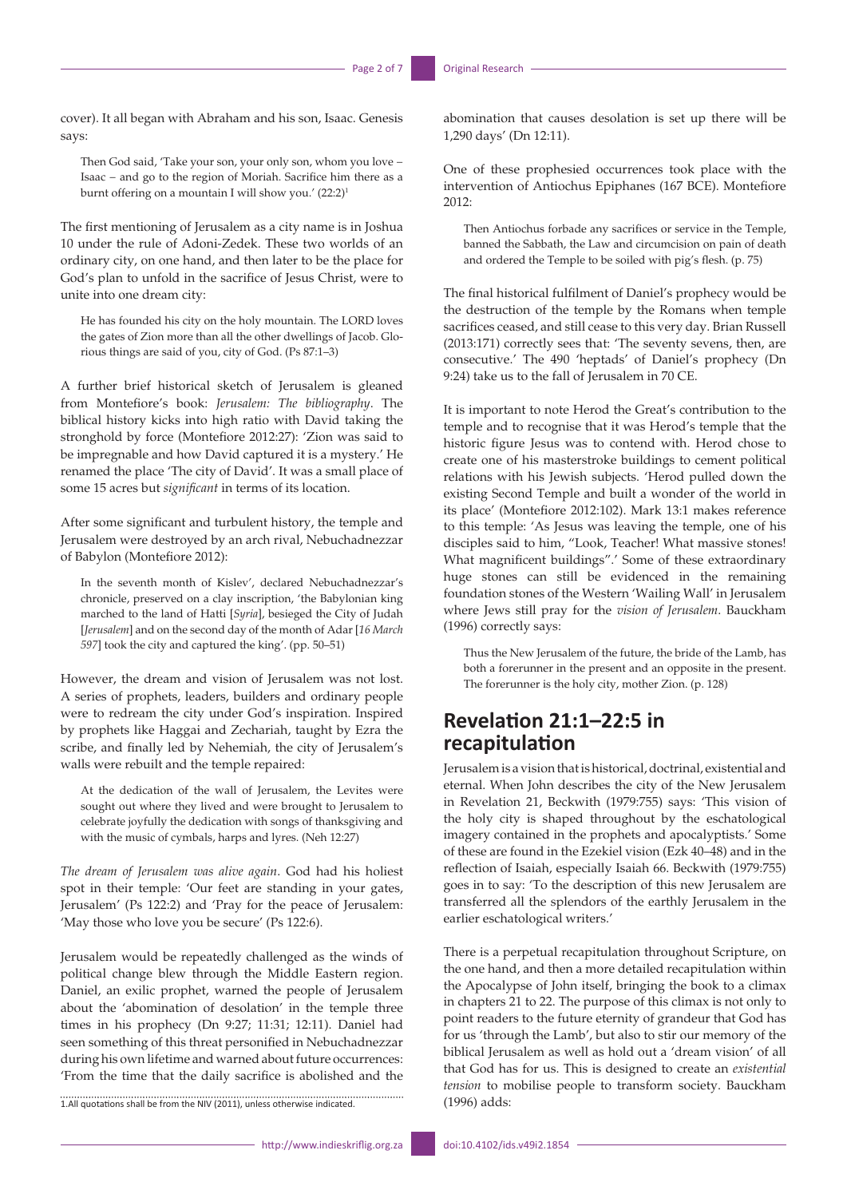cover). It all began with Abraham and his son, Isaac. Genesis says:

Then God said, 'Take your son, your only son, whom you love − Isaac − and go to the region of Moriah. Sacrifice him there as a burnt offering on a mountain I will show you.'  $(22:2)^1$ 

The first mentioning of Jerusalem as a city name is in Joshua 10 under the rule of Adoni-Zedek. These two worlds of an ordinary city, on one hand, and then later to be the place for God's plan to unfold in the sacrifice of Jesus Christ, were to unite into one dream city:

He has founded his city on the holy mountain. The LORD loves the gates of Zion more than all the other dwellings of Jacob. Glorious things are said of you, city of God. (Ps 87:1–3)

A further brief historical sketch of Jerusalem is gleaned from Montefiore's book: *Jerusalem: The bibliography*. The biblical history kicks into high ratio with David taking the stronghold by force (Montefiore 2012:27): 'Zion was said to be impregnable and how David captured it is a mystery.' He renamed the place 'The city of David'. It was a small place of some 15 acres but *significant* in terms of its location.

After some significant and turbulent history, the temple and Jerusalem were destroyed by an arch rival, Nebuchadnezzar of Babylon (Montefiore 2012):

In the seventh month of Kislev', declared Nebuchadnezzar's chronicle, preserved on a clay inscription, 'the Babylonian king marched to the land of Hatti [*Syria*], besieged the City of Judah [*Jerusalem*] and on the second day of the month of Adar [*16 March 597*] took the city and captured the king'. (pp. 50–51)

However, the dream and vision of Jerusalem was not lost. A series of prophets, leaders, builders and ordinary people were to redream the city under God's inspiration. Inspired by prophets like Haggai and Zechariah, taught by Ezra the scribe, and finally led by Nehemiah, the city of Jerusalem's walls were rebuilt and the temple repaired:

At the dedication of the wall of Jerusalem, the Levites were sought out where they lived and were brought to Jerusalem to celebrate joyfully the dedication with songs of thanksgiving and with the music of cymbals, harps and lyres. (Neh 12:27)

*The dream of Jerusalem was alive again*. God had his holiest spot in their temple: 'Our feet are standing in your gates, Jerusalem' (Ps 122:2) and 'Pray for the peace of Jerusalem: 'May those who love you be secure' (Ps 122:6).

Jerusalem would be repeatedly challenged as the winds of political change blew through the Middle Eastern region. Daniel, an exilic prophet, warned the people of Jerusalem about the 'abomination of desolation' in the temple three times in his prophecy (Dn 9:27; 11:31; 12:11). Daniel had seen something of this threat personified in Nebuchadnezzar during his own lifetime and warned about future occurrences: 'From the time that the daily sacrifice is abolished and the

1.All quotations shall be from the NIV (2011), unless otherwise indicated.

abomination that causes desolation is set up there will be 1,290 days' (Dn 12:11).

One of these prophesied occurrences took place with the intervention of Antiochus Epiphanes (167 BCE). Montefiore 2012:

Then Antiochus forbade any sacrifices or service in the Temple, banned the Sabbath, the Law and circumcision on pain of death and ordered the Temple to be soiled with pig's flesh. (p. 75)

The final historical fulfilment of Daniel's prophecy would be the destruction of the temple by the Romans when temple sacrifices ceased, and still cease to this very day. Brian Russell (2013:171) correctly sees that: 'The seventy sevens, then, are consecutive.' The 490 'heptads' of Daniel's prophecy (Dn 9:24) take us to the fall of Jerusalem in 70 CE.

It is important to note Herod the Great's contribution to the temple and to recognise that it was Herod's temple that the historic figure Jesus was to contend with. Herod chose to create one of his masterstroke buildings to cement political relations with his Jewish subjects. 'Herod pulled down the existing Second Temple and built a wonder of the world in its place' (Montefiore 2012:102). Mark 13:1 makes reference to this temple: 'As Jesus was leaving the temple, one of his disciples said to him, "Look, Teacher! What massive stones! What magnificent buildings".' Some of these extraordinary huge stones can still be evidenced in the remaining foundation stones of the Western 'Wailing Wall' in Jerusalem where Jews still pray for the *vision of Jerusalem*. Bauckham (1996) correctly says:

Thus the New Jerusalem of the future, the bride of the Lamb, has both a forerunner in the present and an opposite in the present. The forerunner is the holy city, mother Zion. (p. 128)

# **Revelation 21:1–22:5 in recapitulation**

Jerusalem is a vision that is historical, doctrinal, existential and eternal. When John describes the city of the New Jerusalem in Revelation 21, Beckwith (1979:755) says: 'This vision of the holy city is shaped throughout by the eschatological imagery contained in the prophets and apocalyptists.' Some of these are found in the Ezekiel vision (Ezk 40–48) and in the reflection of Isaiah, especially Isaiah 66. Beckwith (1979:755) goes in to say: 'To the description of this new Jerusalem are transferred all the splendors of the earthly Jerusalem in the earlier eschatological writers.'

There is a perpetual recapitulation throughout Scripture, on the one hand, and then a more detailed recapitulation within the Apocalypse of John itself, bringing the book to a climax in chapters 21 to 22. The purpose of this climax is not only to point readers to the future eternity of grandeur that God has for us 'through the Lamb', but also to stir our memory of the biblical Jerusalem as well as hold out a 'dream vision' of all that God has for us. This is designed to create an *existential tension* to mobilise people to transform society. Bauckham (1996) adds: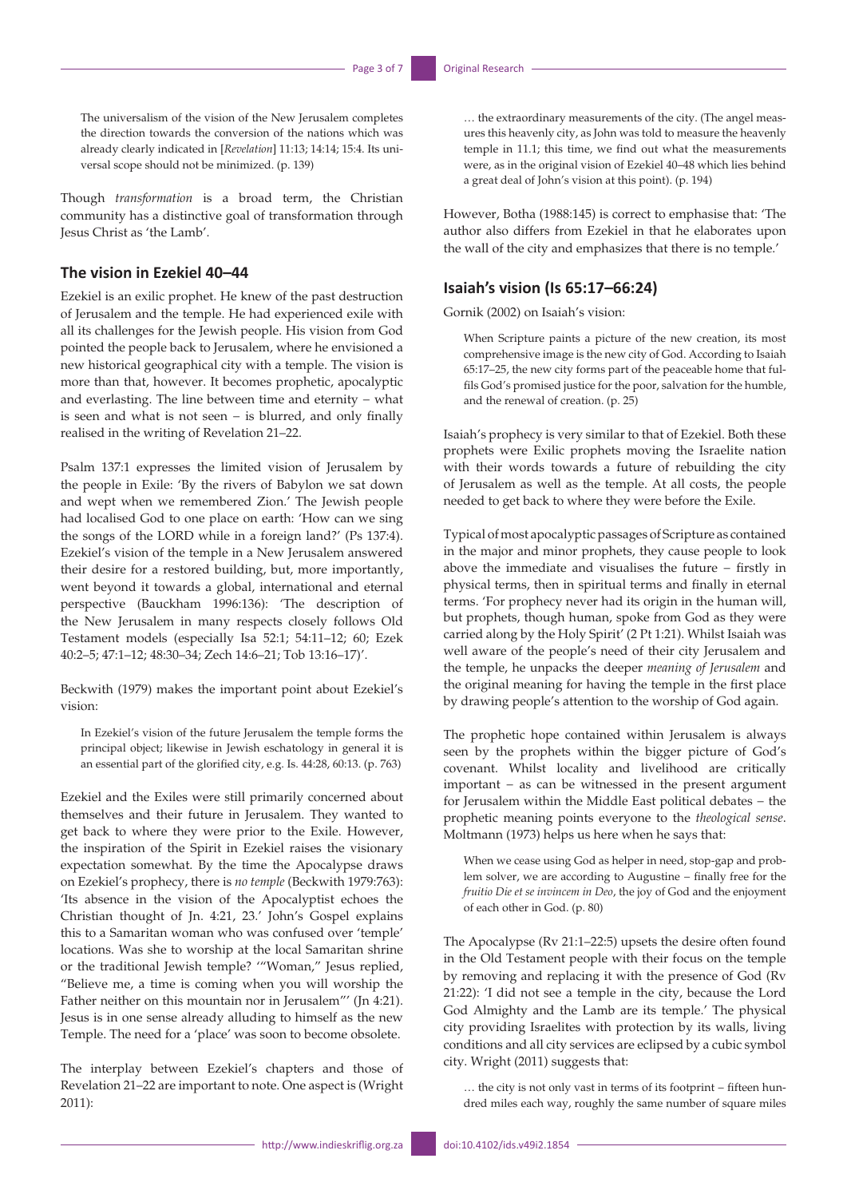The universalism of the vision of the New Jerusalem completes the direction towards the conversion of the nations which was already clearly indicated in [*Revelation*] 11:13; 14:14; 15:4. Its universal scope should not be minimized. (p. 139)

Though *transformation* is a broad term, the Christian community has a distinctive goal of transformation through Jesus Christ as 'the Lamb'.

### **The vision in Ezekiel 40–44**

Ezekiel is an exilic prophet. He knew of the past destruction of Jerusalem and the temple. He had experienced exile with all its challenges for the Jewish people. His vision from God pointed the people back to Jerusalem, where he envisioned a new historical geographical city with a temple. The vision is more than that, however. It becomes prophetic, apocalyptic and everlasting. The line between time and eternity − what is seen and what is not seen − is blurred, and only finally realised in the writing of Revelation 21–22.

Psalm 137:1 expresses the limited vision of Jerusalem by the people in Exile: 'By the rivers of Babylon we sat down and wept when we remembered Zion.' The Jewish people had localised God to one place on earth: 'How can we sing the songs of the LORD while in a foreign land?' (Ps 137:4). Ezekiel's vision of the temple in a New Jerusalem answered their desire for a restored building, but, more importantly, went beyond it towards a global, international and eternal perspective (Bauckham 1996:136): 'The description of the New Jerusalem in many respects closely follows Old Testament models (especially Isa 52:1; 54:11–12; 60; Ezek 40:2–5; 47:1–12; 48:30–34; Zech 14:6–21; Tob 13:16–17)'.

Beckwith (1979) makes the important point about Ezekiel's vision:

In Ezekiel's vision of the future Jerusalem the temple forms the principal object; likewise in Jewish eschatology in general it is an essential part of the glorified city, e.g. Is. 44:28, 60:13. (p. 763)

Ezekiel and the Exiles were still primarily concerned about themselves and their future in Jerusalem. They wanted to get back to where they were prior to the Exile. However, the inspiration of the Spirit in Ezekiel raises the visionary expectation somewhat. By the time the Apocalypse draws on Ezekiel's prophecy, there is *no temple* (Beckwith 1979:763): 'Its absence in the vision of the Apocalyptist echoes the Christian thought of Jn. 4:21, 23.' John's Gospel explains this to a Samaritan woman who was confused over 'temple' locations. Was she to worship at the local Samaritan shrine or the traditional Jewish temple? '"Woman," Jesus replied, "Believe me, a time is coming when you will worship the Father neither on this mountain nor in Jerusalem"' (Jn 4:21). Jesus is in one sense already alluding to himself as the new Temple. The need for a 'place' was soon to become obsolete.

The interplay between Ezekiel's chapters and those of Revelation 21–22 are important to note. One aspect is (Wright 2011):

… the extraordinary measurements of the city. (The angel measures this heavenly city, as John was told to measure the heavenly temple in 11.1; this time, we find out what the measurements were, as in the original vision of Ezekiel 40–48 which lies behind a great deal of John's vision at this point). (p. 194)

However, Botha (1988:145) is correct to emphasise that: 'The author also differs from Ezekiel in that he elaborates upon the wall of the city and emphasizes that there is no temple.'

#### **Isaiah's vision (Is 65:17–66:24)**

Gornik (2002) on Isaiah's vision:

When Scripture paints a picture of the new creation, its most comprehensive image is the new city of God. According to Isaiah 65:17–25, the new city forms part of the peaceable home that fulfils God's promised justice for the poor, salvation for the humble, and the renewal of creation. (p. 25)

Isaiah's prophecy is very similar to that of Ezekiel. Both these prophets were Exilic prophets moving the Israelite nation with their words towards a future of rebuilding the city of Jerusalem as well as the temple. At all costs, the people needed to get back to where they were before the Exile.

Typical of most apocalyptic passages of Scripture as contained in the major and minor prophets, they cause people to look above the immediate and visualises the future − firstly in physical terms, then in spiritual terms and finally in eternal terms. 'For prophecy never had its origin in the human will, but prophets, though human, spoke from God as they were carried along by the Holy Spirit' (2 Pt 1:21). Whilst Isaiah was well aware of the people's need of their city Jerusalem and the temple, he unpacks the deeper *meaning of Jerusalem* and the original meaning for having the temple in the first place by drawing people's attention to the worship of God again.

The prophetic hope contained within Jerusalem is always seen by the prophets within the bigger picture of God's covenant. Whilst locality and livelihood are critically important − as can be witnessed in the present argument for Jerusalem within the Middle East political debates − the prophetic meaning points everyone to the *theological sense*. Moltmann (1973) helps us here when he says that:

When we cease using God as helper in need, stop-gap and problem solver, we are according to Augustine − finally free for the *fruitio Die et se invincem in Deo*, the joy of God and the enjoyment of each other in God. (p. 80)

The Apocalypse (Rv 21:1–22:5) upsets the desire often found in the Old Testament people with their focus on the temple by removing and replacing it with the presence of God (Rv 21:22): 'I did not see a temple in the city, because the Lord God Almighty and the Lamb are its temple.' The physical city providing Israelites with protection by its walls, living conditions and all city services are eclipsed by a cubic symbol city. Wright (2011) suggests that:

… the city is not only vast in terms of its footprint − fifteen hundred miles each way, roughly the same number of square miles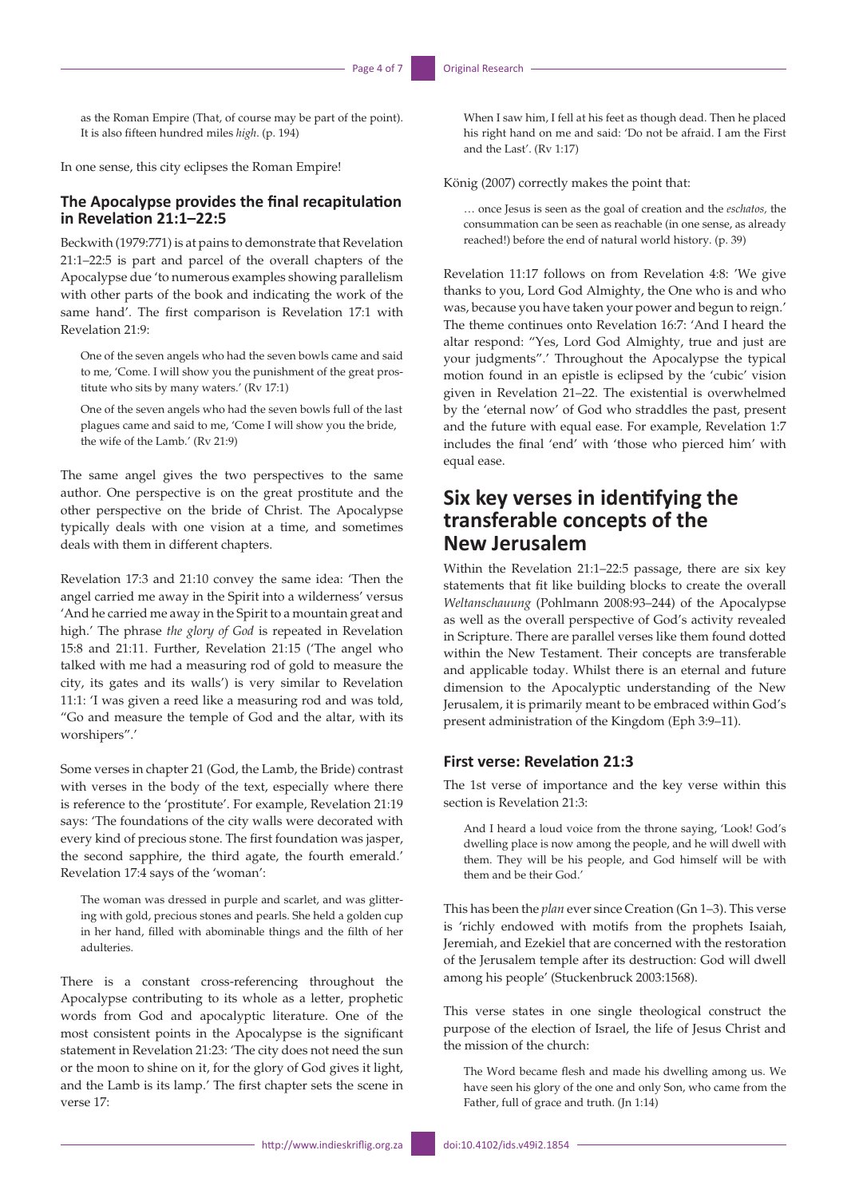as the Roman Empire (That, of course may be part of the point). It is also fifteen hundred miles *high*. (p. 194)

In one sense, this city eclipses the Roman Empire!

#### **The Apocalypse provides the final recapitulation in Revelation 21:1–22:5**

Beckwith (1979:771) is at pains to demonstrate that Revelation 21:1–22:5 is part and parcel of the overall chapters of the Apocalypse due 'to numerous examples showing parallelism with other parts of the book and indicating the work of the same hand'. The first comparison is Revelation 17:1 with Revelation 21:9:

One of the seven angels who had the seven bowls came and said to me, 'Come. I will show you the punishment of the great prostitute who sits by many waters.' (Rv 17:1)

One of the seven angels who had the seven bowls full of the last plagues came and said to me, 'Come I will show you the bride, the wife of the Lamb.' (Rv 21:9)

The same angel gives the two perspectives to the same author. One perspective is on the great prostitute and the other perspective on the bride of Christ. The Apocalypse typically deals with one vision at a time, and sometimes deals with them in different chapters.

Revelation 17:3 and 21:10 convey the same idea: 'Then the angel carried me away in the Spirit into a wilderness' versus 'And he carried me away in the Spirit to a mountain great and high.' The phrase *the glory of God* is repeated in Revelation 15:8 and 21:11. Further, Revelation 21:15 ('The angel who talked with me had a measuring rod of gold to measure the city, its gates and its walls') is very similar to Revelation 11:1: 'I was given a reed like a measuring rod and was told, "Go and measure the temple of God and the altar, with its worshipers".'

Some verses in chapter 21 (God, the Lamb, the Bride) contrast with verses in the body of the text, especially where there is reference to the 'prostitute'. For example, Revelation 21:19 says: 'The foundations of the city walls were decorated with every kind of precious stone. The first foundation was jasper, the second sapphire, the third agate, the fourth emerald.' Revelation 17:4 says of the 'woman':

The woman was dressed in purple and scarlet, and was glittering with gold, precious stones and pearls. She held a golden cup in her hand, filled with abominable things and the filth of her adulteries.

There is a constant cross-referencing throughout the Apocalypse contributing to its whole as a letter, prophetic words from God and apocalyptic literature. One of the most consistent points in the Apocalypse is the significant statement in Revelation 21:23: 'The city does not need the sun or the moon to shine on it, for the glory of God gives it light, and the Lamb is its lamp.' The first chapter sets the scene in verse 17:

When I saw him, I fell at his feet as though dead. Then he placed his right hand on me and said: 'Do not be afraid. I am the First and the Last'. (Rv 1:17)

König (2007) correctly makes the point that:

… once Jesus is seen as the goal of creation and the *eschatos,* the consummation can be seen as reachable (in one sense, as already reached!) before the end of natural world history. (p. 39)

Revelation 11:17 follows on from Revelation 4:8: 'We give thanks to you, Lord God Almighty, the One who is and who was, because you have taken your power and begun to reign.' The theme continues onto Revelation 16:7: 'And I heard the altar respond: "Yes, Lord God Almighty, true and just are your judgments".' Throughout the Apocalypse the typical motion found in an epistle is eclipsed by the 'cubic' vision given in Revelation 21–22. The existential is overwhelmed by the 'eternal now' of God who straddles the past, present and the future with equal ease. For example, Revelation 1:7 includes the final 'end' with 'those who pierced him' with equal ease.

# **Six key verses in identifying the transferable concepts of the New Jerusalem**

Within the Revelation 21:1–22:5 passage, there are six key statements that fit like building blocks to create the overall *Weltanschauung* (Pohlmann 2008:93–244) of the Apocalypse as well as the overall perspective of God's activity revealed in Scripture. There are parallel verses like them found dotted within the New Testament. Their concepts are transferable and applicable today. Whilst there is an eternal and future dimension to the Apocalyptic understanding of the New Jerusalem, it is primarily meant to be embraced within God's present administration of the Kingdom (Eph 3:9–11).

#### **First verse: Revelation 21:3**

The 1st verse of importance and the key verse within this section is Revelation 21:3:

And I heard a loud voice from the throne saying, 'Look! God's dwelling place is now among the people, and he will dwell with them. They will be his people, and God himself will be with them and be their God.'

This has been the *plan* ever since Creation (Gn 1–3). This verse is 'richly endowed with motifs from the prophets Isaiah, Jeremiah, and Ezekiel that are concerned with the restoration of the Jerusalem temple after its destruction: God will dwell among his people' (Stuckenbruck 2003:1568).

This verse states in one single theological construct the purpose of the election of Israel, the life of Jesus Christ and the mission of the church:

The Word became flesh and made his dwelling among us. We have seen his glory of the one and only Son, who came from the Father, full of grace and truth. (Jn 1:14)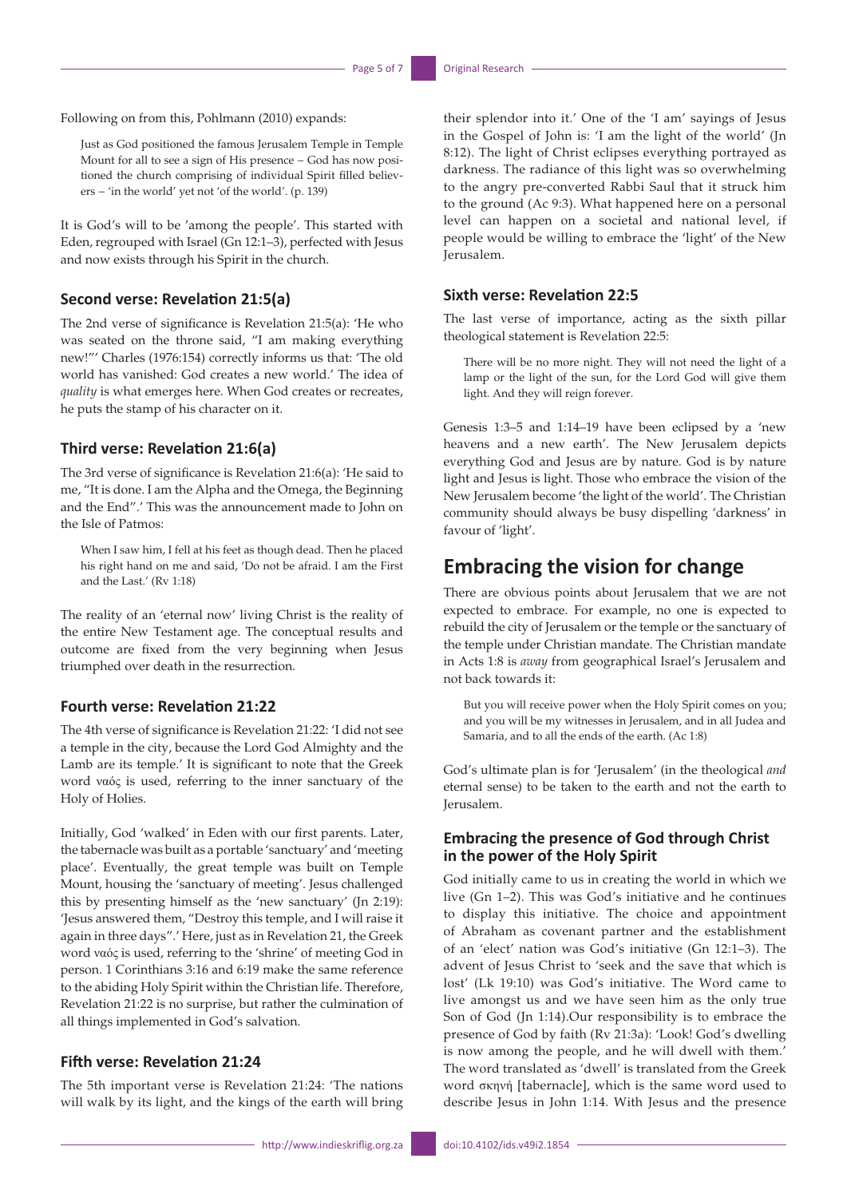Following on from this, Pohlmann (2010) expands:

Just as God positioned the famous Jerusalem Temple in Temple Mount for all to see a sign of His presence − God has now positioned the church comprising of individual Spirit filled believers − 'in the world' yet not 'of the world'. (p. 139)

It is God's will to be 'among the people'. This started with Eden, regrouped with Israel (Gn 12:1–3), perfected with Jesus and now exists through his Spirit in the church.

#### **Second verse: Revelation 21:5(a)**

The 2nd verse of significance is Revelation 21:5(a): 'He who was seated on the throne said, "I am making everything new!"' Charles (1976:154) correctly informs us that: 'The old world has vanished: God creates a new world.' The idea of *quality* is what emerges here. When God creates or recreates, he puts the stamp of his character on it.

#### **Third verse: Revelation 21:6(a)**

The 3rd verse of significance is Revelation 21:6(a): 'He said to me, "It is done. I am the Alpha and the Omega, the Beginning and the End".' This was the announcement made to John on the Isle of Patmos:

When I saw him, I fell at his feet as though dead. Then he placed his right hand on me and said, 'Do not be afraid. I am the First and the Last.' (Rv 1:18)

The reality of an 'eternal now' living Christ is the reality of the entire New Testament age. The conceptual results and outcome are fixed from the very beginning when Jesus triumphed over death in the resurrection.

#### **Fourth verse: Revelation 21:22**

The 4th verse of significance is Revelation 21:22: 'I did not see a temple in the city, because the Lord God Almighty and the Lamb are its temple.' It is significant to note that the Greek word ναός is used, referring to the inner sanctuary of the Holy of Holies.

Initially, God 'walked' in Eden with our first parents. Later, the tabernacle was built as a portable 'sanctuary' and 'meeting place'. Eventually, the great temple was built on Temple Mount, housing the 'sanctuary of meeting'. Jesus challenged this by presenting himself as the 'new sanctuary' (Jn 2:19): 'Jesus answered them, "Destroy this temple, and I will raise it again in three days".' Here, just as in Revelation 21, the Greek word ναός is used, referring to the 'shrine' of meeting God in person. 1 Corinthians 3:16 and 6:19 make the same reference to the abiding Holy Spirit within the Christian life. Therefore, Revelation 21:22 is no surprise, but rather the culmination of all things implemented in God's salvation.

#### **Fifth verse: Revelation 21:24**

The 5th important verse is Revelation 21:24: 'The nations will walk by its light, and the kings of the earth will bring

their splendor into it.' One of the 'I am' sayings of Jesus in the Gospel of John is: 'I am the light of the world' (Jn 8:12). The light of Christ eclipses everything portrayed as darkness. The radiance of this light was so overwhelming to the angry pre-converted Rabbi Saul that it struck him to the ground (Ac 9:3). What happened here on a personal level can happen on a societal and national level, if people would be willing to embrace the 'light' of the New Jerusalem.

#### **Sixth verse: Revelation 22:5**

The last verse of importance, acting as the sixth pillar theological statement is Revelation 22:5:

There will be no more night. They will not need the light of a lamp or the light of the sun, for the Lord God will give them light. And they will reign forever.

Genesis 1:3–5 and 1:14–19 have been eclipsed by a 'new heavens and a new earth'. The New Jerusalem depicts everything God and Jesus are by nature. God is by nature light and Jesus is light. Those who embrace the vision of the New Jerusalem become 'the light of the world'. The Christian community should always be busy dispelling 'darkness' in favour of 'light'.

## **Embracing the vision for change**

There are obvious points about Jerusalem that we are not expected to embrace. For example, no one is expected to rebuild the city of Jerusalem or the temple or the sanctuary of the temple under Christian mandate. The Christian mandate in Acts 1:8 is *away* from geographical Israel's Jerusalem and not back towards it:

But you will receive power when the Holy Spirit comes on you; and you will be my witnesses in Jerusalem, and in all Judea and Samaria, and to all the ends of the earth. (Ac 1:8)

God's ultimate plan is for 'Jerusalem' (in the theological *and* eternal sense) to be taken to the earth and not the earth to Jerusalem.

### **Embracing the presence of God through Christ in the power of the Holy Spirit**

God initially came to us in creating the world in which we live (Gn 1–2). This was God's initiative and he continues to display this initiative. The choice and appointment of Abraham as covenant partner and the establishment of an 'elect' nation was God's initiative (Gn 12:1–3). The advent of Jesus Christ to 'seek and the save that which is lost' (Lk 19:10) was God's initiative. The Word came to live amongst us and we have seen him as the only true Son of God (Jn 1:14).Our responsibility is to embrace the presence of God by faith (Rv 21:3a): 'Look! God's dwelling is now among the people, and he will dwell with them.' The word translated as 'dwell' is translated from the Greek word σκηνή [tabernacle], which is the same word used to describe Jesus in John 1:14. With Jesus and the presence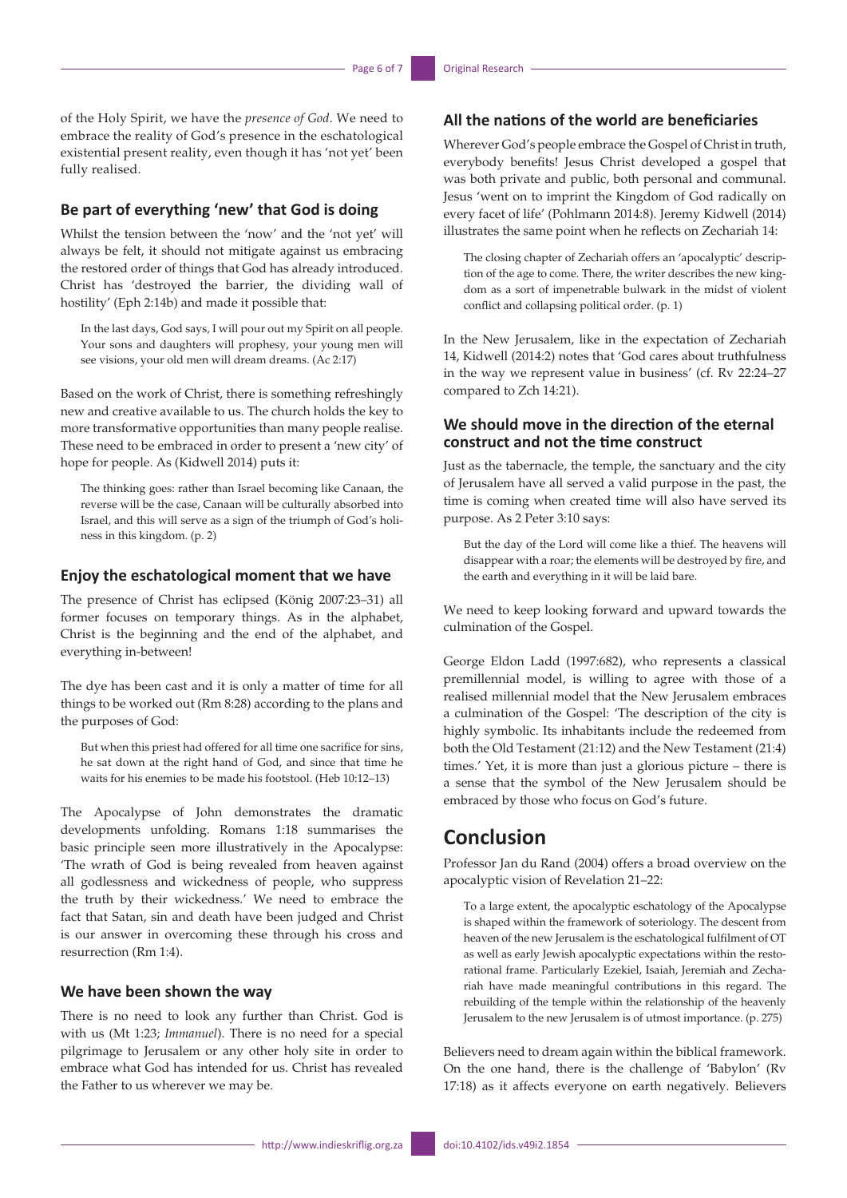of the Holy Spirit, we have the *presence of God*. We need to embrace the reality of God's presence in the eschatological existential present reality, even though it has 'not yet' been fully realised.

### **Be part of everything 'new' that God is doing**

Whilst the tension between the 'now' and the 'not yet' will always be felt, it should not mitigate against us embracing the restored order of things that God has already introduced. Christ has 'destroyed the barrier, the dividing wall of hostility' (Eph 2:14b) and made it possible that:

In the last days, God says, I will pour out my Spirit on all people. Your sons and daughters will prophesy, your young men will see visions, your old men will dream dreams. (Ac 2:17)

Based on the work of Christ, there is something refreshingly new and creative available to us. The church holds the key to more transformative opportunities than many people realise. These need to be embraced in order to present a 'new city' of hope for people. As (Kidwell 2014) puts it:

The thinking goes: rather than Israel becoming like Canaan, the reverse will be the case, Canaan will be culturally absorbed into Israel, and this will serve as a sign of the triumph of God's holiness in this kingdom. (p. 2)

#### **Enjoy the eschatological moment that we have**

The presence of Christ has eclipsed (König 2007:23–31) all former focuses on temporary things. As in the alphabet, Christ is the beginning and the end of the alphabet, and everything in-between!

The dye has been cast and it is only a matter of time for all things to be worked out (Rm 8:28) according to the plans and the purposes of God:

But when this priest had offered for all time one sacrifice for sins, he sat down at the right hand of God, and since that time he waits for his enemies to be made his footstool. (Heb 10:12–13)

The Apocalypse of John demonstrates the dramatic developments unfolding. Romans 1:18 summarises the basic principle seen more illustratively in the Apocalypse: 'The wrath of God is being revealed from heaven against all godlessness and wickedness of people, who suppress the truth by their wickedness.' We need to embrace the fact that Satan, sin and death have been judged and Christ is our answer in overcoming these through his cross and resurrection (Rm 1:4).

#### **We have been shown the way**

There is no need to look any further than Christ. God is with us (Mt 1:23; *Immanuel*). There is no need for a special pilgrimage to Jerusalem or any other holy site in order to embrace what God has intended for us. Christ has revealed the Father to us wherever we may be.

### **All the nations of the world are beneficiaries**

Wherever God's people embrace the Gospel of Christ in truth, everybody benefits! Jesus Christ developed a gospel that was both private and public, both personal and communal. Jesus 'went on to imprint the Kingdom of God radically on every facet of life' (Pohlmann 2014:8). Jeremy Kidwell (2014) illustrates the same point when he reflects on Zechariah 14:

The closing chapter of Zechariah offers an 'apocalyptic' description of the age to come. There, the writer describes the new kingdom as a sort of impenetrable bulwark in the midst of violent conflict and collapsing political order. (p. 1)

In the New Jerusalem, like in the expectation of Zechariah 14, Kidwell (2014:2) notes that 'God cares about truthfulness in the way we represent value in business' (cf. Rv 22:24–27 compared to Zch 14:21).

### **We should move in the direction of the eternal construct and not the time construct**

Just as the tabernacle, the temple, the sanctuary and the city of Jerusalem have all served a valid purpose in the past, the time is coming when created time will also have served its purpose. As 2 Peter 3:10 says:

But the day of the Lord will come like a thief. The heavens will disappear with a roar; the elements will be destroyed by fire, and the earth and everything in it will be laid bare.

We need to keep looking forward and upward towards the culmination of the Gospel.

George Eldon Ladd (1997:682), who represents a classical premillennial model, is willing to agree with those of a realised millennial model that the New Jerusalem embraces a culmination of the Gospel: 'The description of the city is highly symbolic. Its inhabitants include the redeemed from both the Old Testament (21:12) and the New Testament (21:4) times.' Yet, it is more than just a glorious picture – there is a sense that the symbol of the New Jerusalem should be embraced by those who focus on God's future.

# **Conclusion**

Professor Jan du Rand (2004) offers a broad overview on the apocalyptic vision of Revelation 21–22:

To a large extent, the apocalyptic eschatology of the Apocalypse is shaped within the framework of soteriology. The descent from heaven of the new Jerusalem is the eschatological fulfilment of OT as well as early Jewish apocalyptic expectations within the restorational frame. Particularly Ezekiel, Isaiah, Jeremiah and Zechariah have made meaningful contributions in this regard. The rebuilding of the temple within the relationship of the heavenly Jerusalem to the new Jerusalem is of utmost importance. (p. 275)

Believers need to dream again within the biblical framework. On the one hand, there is the challenge of 'Babylon' (Rv 17:18) as it affects everyone on earth negatively. Believers